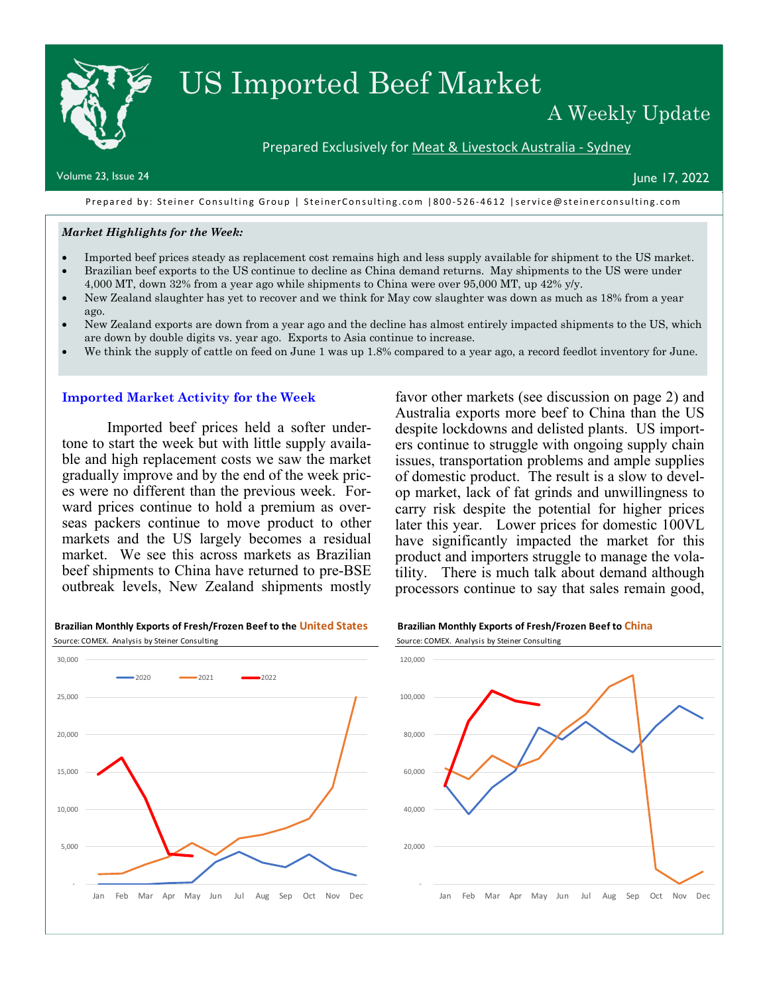# US Imported Beef Market

## A Weekly Update

#### Prepared Exclusively for Meat & Livestock Australia - Sydney

 $\blacksquare$  Volume 23, Issue 24  $\blacksquare$ 

Prepared by: Steiner Consulting Group | SteinerConsulting.com | 800-526-4612 | service@steinerconsulting.com

#### *Market Highlights for the Week:*

- Imported beef prices steady as replacement cost remains high and less supply available for shipment to the US market.
- Brazilian beef exports to the US continue to decline as China demand returns. May shipments to the US were under 4,000 MT, down 32% from a year ago while shipments to China were over 95,000 MT, up 42% y/y.
- New Zealand slaughter has yet to recover and we think for May cow slaughter was down as much as 18% from a year ago.
- New Zealand exports are down from a year ago and the decline has almost entirely impacted shipments to the US, which are down by double digits vs. year ago. Exports to Asia continue to increase.
- We think the supply of cattle on feed on June 1 was up 1.8% compared to a year ago, a record feedlot inventory for June.

#### **Imported Market Activity for the Week**

 Imported beef prices held a softer undertone to start the week but with little supply available and high replacement costs we saw the market gradually improve and by the end of the week prices were no different than the previous week. Forward prices continue to hold a premium as overseas packers continue to move product to other markets and the US largely becomes a residual market. We see this across markets as Brazilian beef shipments to China have returned to pre-BSE outbreak levels, New Zealand shipments mostly

#### favor other markets (see discussion on page 2) and Australia exports more beef to China than the US despite lockdowns and delisted plants. US importers continue to struggle with ongoing supply chain issues, transportation problems and ample supplies of domestic product. The result is a slow to develop market, lack of fat grinds and unwillingness to carry risk despite the potential for higher prices later this year. Lower prices for domestic 100VL have significantly impacted the market for this product and importers struggle to manage the volatility. There is much talk about demand although processors continue to say that sales remain good,



#### **Brazilian Monthly Exports of Fresh/Frozen Beef to the United States Brazilian Monthly Exports of Fresh/Frozen Beef to China** Source: COMEX. Analysis by Steiner Consulting Source: COMEX. Analysis by Steiner Consulting

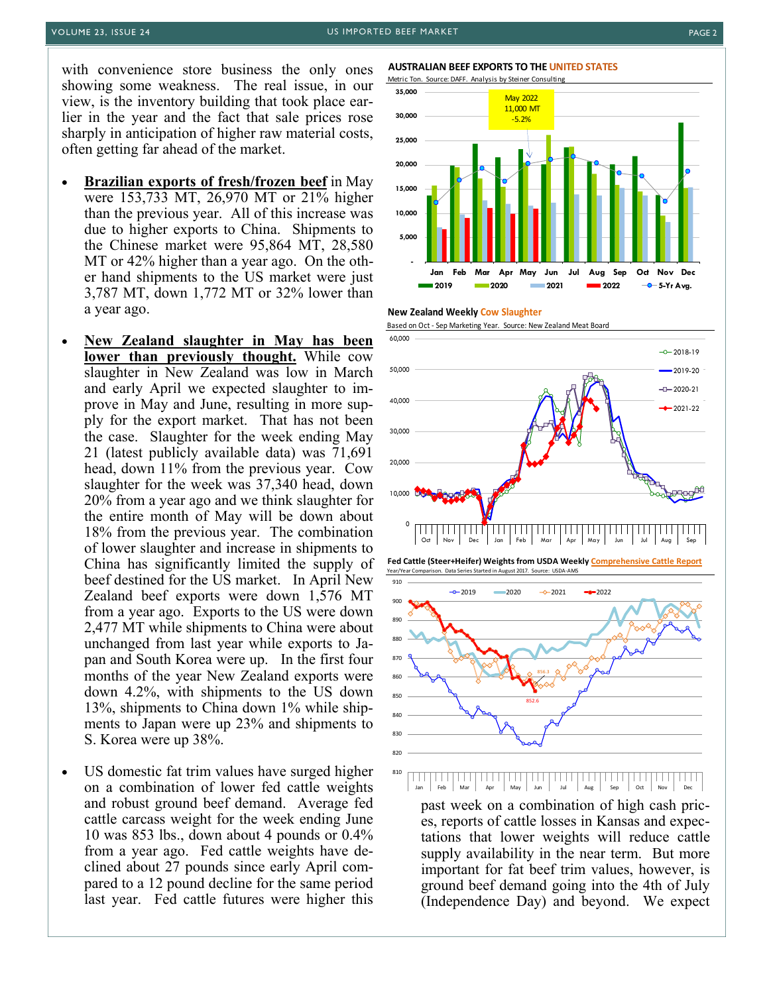with convenience store business the only ones showing some weakness. The real issue, in our view, is the inventory building that took place earlier in the year and the fact that sale prices rose sharply in anticipation of higher raw material costs, often getting far ahead of the market.

- **Brazilian exports of fresh/frozen beef** in May were 153,733 MT, 26,970 MT or 21% higher than the previous year. All of this increase was due to higher exports to China. Shipments to the Chinese market were 95,864 MT, 28,580 MT or 42% higher than a year ago. On the other hand shipments to the US market were just 3,787 MT, down 1,772 MT or 32% lower than a year ago.
- **New Zealand slaughter in May has been lower than previously thought.** While cow slaughter in New Zealand was low in March and early April we expected slaughter to improve in May and June, resulting in more supply for the export market. That has not been the case. Slaughter for the week ending May 21 (latest publicly available data) was 71,691 head, down 11% from the previous year. Cow slaughter for the week was 37,340 head, down 20% from a year ago and we think slaughter for the entire month of May will be down about 18% from the previous year. The combination of lower slaughter and increase in shipments to China has significantly limited the supply of beef destined for the US market. In April New Zealand beef exports were down 1,576 MT from a year ago. Exports to the US were down 2,477 MT while shipments to China were about unchanged from last year while exports to Japan and South Korea were up. In the first four months of the year New Zealand exports were down 4.2%, with shipments to the US down 13%, shipments to China down 1% while shipments to Japan were up 23% and shipments to S. Korea were up 38%.
- US domestic fat trim values have surged higher on a combination of lower fed cattle weights and robust ground beef demand. Average fed cattle carcass weight for the week ending June 10 was 853 lbs., down about 4 pounds or 0.4% from a year ago. Fed cattle weights have declined about 27 pounds since early April compared to a 12 pound decline for the same period last year. Fed cattle futures were higher this

#### **AUSTRALIAN BEEF EXPORTS TO THE UNITED STATES**









#### 810 Jan Jan Jul Jul Aug December 1980<br>Tang Jun Jul Aug

past week on a combination of high cash prices, reports of cattle losses in Kansas and expectations that lower weights will reduce cattle supply availability in the near term. But more important for fat beef trim values, however, is ground beef demand going into the 4th of July (Independence Day) and beyond. We expect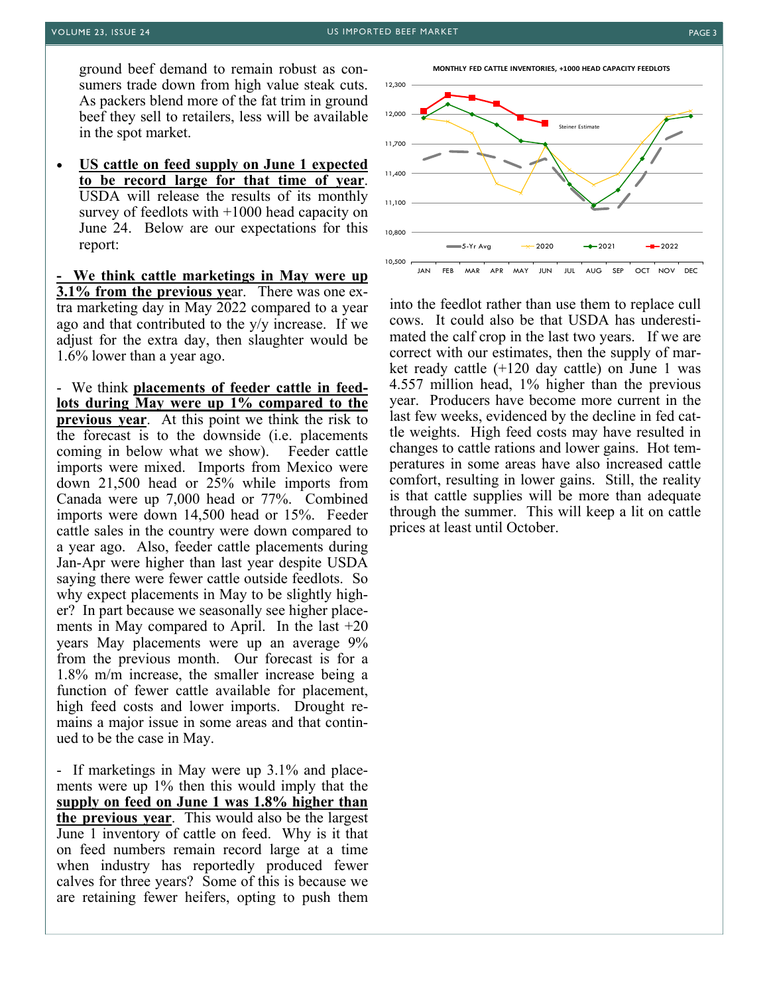ground beef demand to remain robust as consumers trade down from high value steak cuts. As packers blend more of the fat trim in ground beef they sell to retailers, less will be available in the spot market.

• **US cattle on feed supply on June 1 expected to be record large for that time of year**. USDA will release the results of its monthly survey of feedlots with +1000 head capacity on June 24. Below are our expectations for this report:

**- We think cattle marketings in May were up 3.1% from the previous ye**ar. There was one extra marketing day in May 2022 compared to a year ago and that contributed to the y/y increase. If we adjust for the extra day, then slaughter would be 1.6% lower than a year ago.

- We think **placements of feeder cattle in feedlots during May were up 1% compared to the previous year**. At this point we think the risk to the forecast is to the downside (i.e. placements coming in below what we show). Feeder cattle imports were mixed. Imports from Mexico were down 21,500 head or 25% while imports from Canada were up 7,000 head or 77%. Combined imports were down 14,500 head or 15%. Feeder cattle sales in the country were down compared to a year ago. Also, feeder cattle placements during Jan-Apr were higher than last year despite USDA saying there were fewer cattle outside feedlots. So why expect placements in May to be slightly higher? In part because we seasonally see higher placements in May compared to April. In the last  $+20$ years May placements were up an average 9% from the previous month. Our forecast is for a 1.8% m/m increase, the smaller increase being a function of fewer cattle available for placement, high feed costs and lower imports. Drought remains a major issue in some areas and that continued to be the case in May.

- If marketings in May were up 3.1% and placements were up 1% then this would imply that the **supply on feed on June 1 was 1.8% higher than the previous year**. This would also be the largest June 1 inventory of cattle on feed. Why is it that on feed numbers remain record large at a time when industry has reportedly produced fewer calves for three years? Some of this is because we are retaining fewer heifers, opting to push them **MONTHLY FED CATTLE INVENTORIES, +1000 HEAD CAPACITY FEEDLOTS**



into the feedlot rather than use them to replace cull cows. It could also be that USDA has underestimated the calf crop in the last two years. If we are correct with our estimates, then the supply of market ready cattle (+120 day cattle) on June 1 was 4.557 million head, 1% higher than the previous year. Producers have become more current in the last few weeks, evidenced by the decline in fed cattle weights. High feed costs may have resulted in changes to cattle rations and lower gains. Hot temperatures in some areas have also increased cattle comfort, resulting in lower gains. Still, the reality is that cattle supplies will be more than adequate through the summer. This will keep a lit on cattle prices at least until October.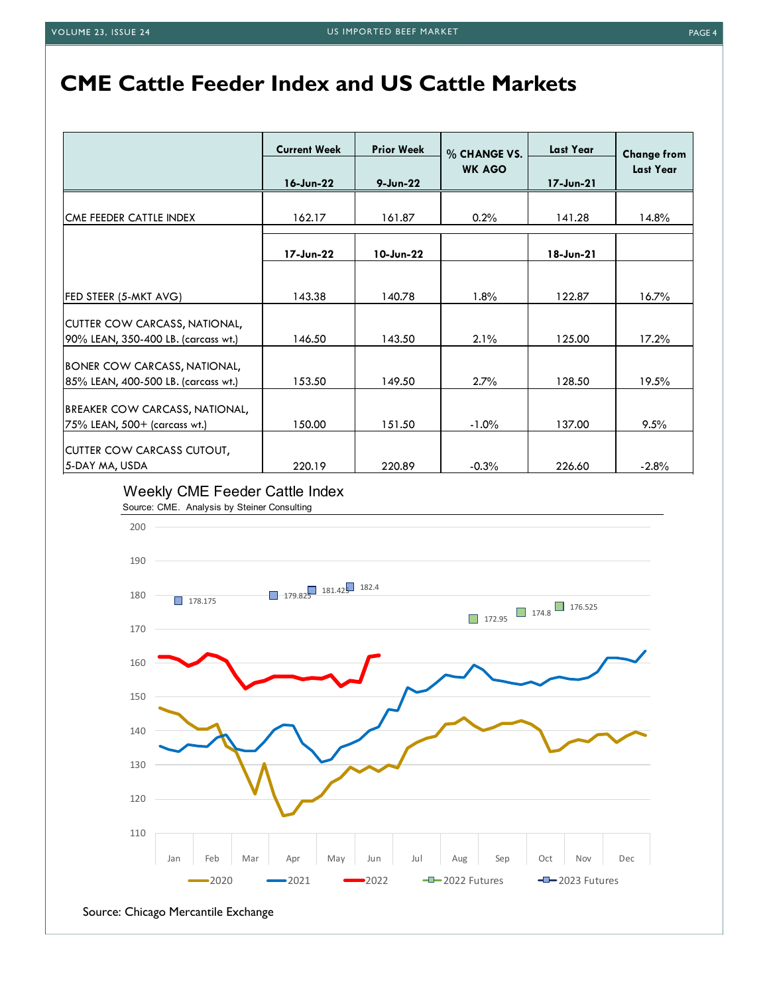# **CME Cattle Feeder Index and US Cattle Markets**

|                                                                            | <b>Current Week</b> | <b>Prior Week</b> | % CHANGE VS.  | <b>Last Year</b> | <b>Change from</b> |
|----------------------------------------------------------------------------|---------------------|-------------------|---------------|------------------|--------------------|
|                                                                            | 16-Jun-22           | $9 - Jun-22$      | <b>WK AGO</b> | 17-Jun-21        | Last Year          |
| CME FEEDER CATTLE INDEX                                                    | 162.17              | 161.87            | 0.2%          | 141.28           | $14.8\%$           |
|                                                                            | 17-Jun-22           | 10-Jun-22         |               | 18-Jun-21        |                    |
|                                                                            |                     |                   |               |                  |                    |
| FED STEER (5-MKT AVG)                                                      | 143.38              | 140.78            | 1.8%          | 122.87           | 16.7%              |
| CUTTER COW CARCASS, NATIONAL,<br>90% LEAN, 350-400 LB. (carcass wt.)       | 146.50              | 143.50            | 2.1%          | 125.00           | 17.2%              |
| <b>BONER COW CARCASS, NATIONAL,</b><br>85% LEAN, 400-500 LB. (carcass wt.) | 153.50              | 149.50            | $2.7\%$       | 128.50           | 19.5%              |
| BREAKER COW CARCASS, NATIONAL,                                             |                     |                   |               |                  |                    |
| 75% LEAN, 500+ (carcass wt.)<br>CUTTER COW CARCASS CUTOUT,                 | 150.00              | 151.50            | $-1.0%$       | 137.00           | 9.5%               |
| 5-DAY MA, USDA                                                             | 220.19              | 220.89            | $-0.3%$       | 226.60           | $-2.8%$            |

### Weekly CME Feeder Cattle Index

Source: CME. Analysis by Steiner Consulting

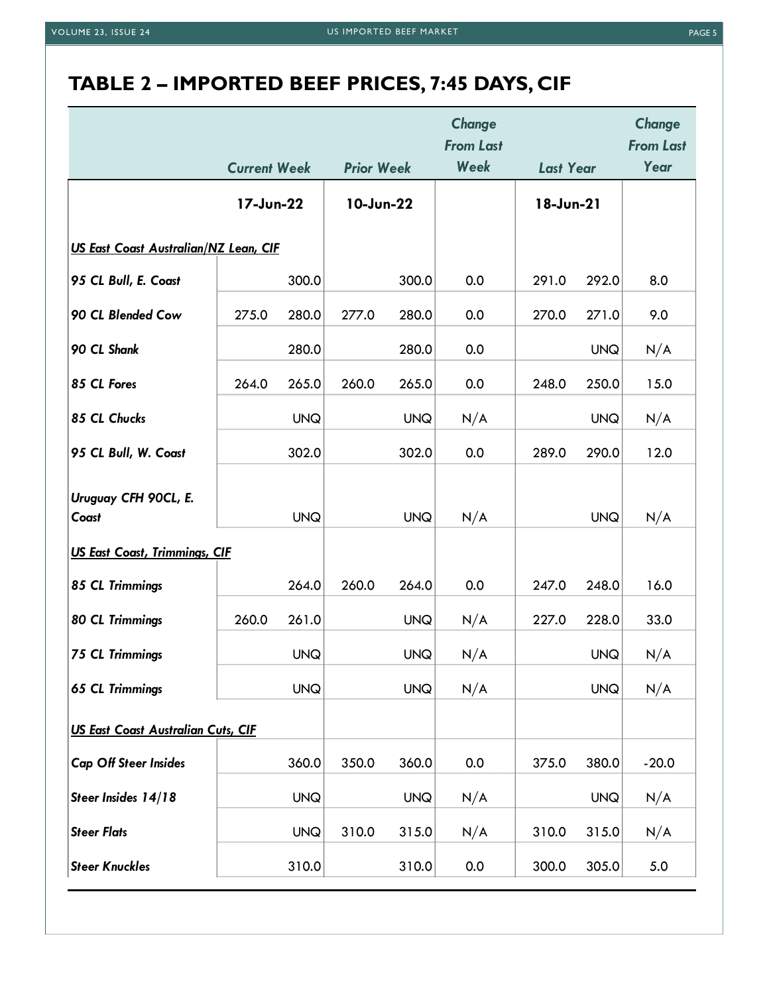# **TABLE 2 – IMPORTED BEEF PRICES, 7:45 DAYS, CIF**

|                                           |                     |            |                   |            | Change<br><b>From Last</b> |                  |            | Change<br><b>From Last</b> |
|-------------------------------------------|---------------------|------------|-------------------|------------|----------------------------|------------------|------------|----------------------------|
|                                           | <b>Current Week</b> |            | <b>Prior Week</b> |            | Week                       | <b>Last Year</b> |            | Year                       |
|                                           | 17-Jun-22           |            | 10-Jun-22         |            |                            | 18-Jun-21        |            |                            |
| US East Coast Australian/NZ Lean, CIF     |                     |            |                   |            |                            |                  |            |                            |
| 95 CL Bull, E. Coast                      |                     | 300.0      |                   | 300.0      | 0.0                        | 291.0            | 292.0      | 8.0                        |
| 90 CL Blended Cow                         | 275.0               | 280.0      | 277.0             | 280.0      | 0.0                        | 270.0            | 271.0      | 9.0                        |
| 90 CL Shank                               |                     | 280.0      |                   | 280.0      | 0.0                        |                  | <b>UNQ</b> | N/A                        |
| 85 CL Fores                               | 264.0               | 265.0      | 260.0             | 265.0      | 0.0                        | 248.0            | 250.0      | 15.0                       |
| 85 CL Chucks                              |                     | <b>UNQ</b> |                   | <b>UNQ</b> | N/A                        |                  | <b>UNQ</b> | N/A                        |
| 95 CL Bull, W. Coast                      |                     | 302.0      |                   | 302.0      | 0.0                        | 289.0            | 290.0      | 12.0                       |
| Uruguay CFH 90CL, E.<br>Coast             |                     | <b>UNQ</b> |                   | <b>UNQ</b> | N/A                        |                  | <b>UNQ</b> | N/A                        |
| <b>US East Coast, Trimmings, CIF</b>      |                     |            |                   |            |                            |                  |            |                            |
| 85 CL Trimmings                           |                     | 264.0      | 260.0             | 264.0      | 0.0                        | 247.0            | 248.0      | 16.0                       |
| <b>80 CL Trimmings</b>                    | 260.0               | 261.0      |                   | <b>UNQ</b> | N/A                        | 227.0            | 228.0      | 33.0                       |
| <b>75 CL Trimmings</b>                    |                     | <b>UNQ</b> |                   | <b>UNQ</b> | N/A                        |                  | <b>UNQ</b> | N/A                        |
| <b>65 CL Trimmings</b>                    |                     | <b>UNQ</b> |                   | <b>UNQ</b> | N/A                        |                  | <b>UNQ</b> | N/A                        |
| <b>US East Coast Australian Cuts, CIF</b> |                     |            |                   |            |                            |                  |            |                            |
| <b>Cap Off Steer Insides</b>              |                     | 360.0      | 350.0             | 360.0      | 0.0                        | 375.0            | 380.0      | $-20.0$                    |
| Steer Insides 14/18                       |                     | <b>UNQ</b> |                   | <b>UNQ</b> | N/A                        |                  | <b>UNQ</b> | N/A                        |
| <b>Steer Flats</b>                        |                     | <b>UNQ</b> | 310.0             | 315.0      | N/A                        | 310.0            | 315.0      | N/A                        |
| <b>Steer Knuckles</b>                     |                     | 310.0      |                   | 310.0      | 0.0                        | 300.0            | 305.0      | 5.0                        |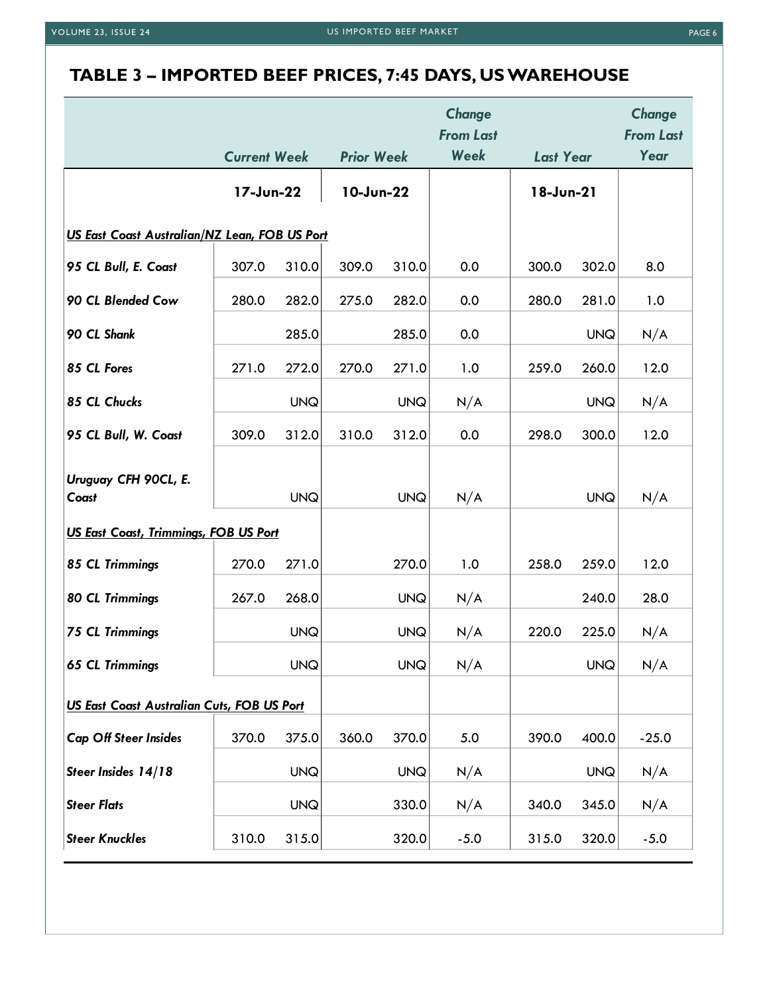## **TABLE 3 – IMPORTED BEEF PRICES, 7:45 DAYS, US WAREHOUSE**

|                                               | <b>Current Week</b> |            | <b>Prior Week</b> |            | Change<br><b>From Last</b><br>Week | <b>Last Year</b> |            | Change<br><b>From Last</b><br>Year |
|-----------------------------------------------|---------------------|------------|-------------------|------------|------------------------------------|------------------|------------|------------------------------------|
|                                               | 17-Jun-22           |            | 10-Jun-22         |            |                                    | 18-Jun-21        |            |                                    |
|                                               |                     |            |                   |            |                                    |                  |            |                                    |
| US East Coast Australian/NZ Lean, FOB US Port |                     |            |                   |            |                                    |                  |            |                                    |
| 95 CL Bull, E. Coast                          | 307.0               | 310.0      | 309.0             | 310.0      | 0.0                                | 300.0            | 302.0      | 8.0                                |
| 90 CL Blended Cow                             | 280.0               | 282.0      | 275.0             | 282.0      | 0.0                                | 280.0            | 281.0      | 1.0                                |
| 90 CL Shank                                   |                     | 285.0      |                   | 285.0      | 0.0                                |                  | <b>UNQ</b> | N/A                                |
| 85 CL Fores                                   | 271.0               | 272.0      | 270.0             | 271.0      | 1.0                                | 259.0            | 260.0      | 12.0                               |
| 85 CL Chucks                                  |                     | <b>UNQ</b> |                   | <b>UNQ</b> | N/A                                |                  | <b>UNQ</b> | N/A                                |
| 95 CL Bull, W. Coast                          | 309.0               | 312.0      | 310.0             | 312.0      | 0.0                                | 298.0            | 300.0      | 12.0                               |
|                                               |                     |            |                   |            |                                    |                  |            |                                    |
| Uruguay CFH 90CL, E.<br>Coast                 |                     | <b>UNQ</b> |                   | <b>UNQ</b> | N/A                                |                  | <b>UNQ</b> | N/A                                |
| <b>US East Coast, Trimmings, FOB US Port</b>  |                     |            |                   |            |                                    |                  |            |                                    |
| 85 CL Trimmings                               | 270.0               | 271.0      |                   | 270.0      | 1.0                                | 258.0            | 259.0      | 12.0                               |
| <b>80 CL Trimmings</b>                        | 267.0               | 268.0      |                   | <b>UNQ</b> | N/A                                |                  | 240.0      | 28.0                               |
| <b>75 CL Trimmings</b>                        |                     | <b>UNQ</b> |                   | <b>UNQ</b> | N/A                                | 220.0            | 225.0      | N/A                                |
| <b>65 CL Trimmings</b>                        |                     | <b>UNQ</b> |                   | <b>UNQ</b> | N/A                                |                  | <b>UNQ</b> | N/A                                |
| US East Coast Australian Cuts, FOB US Port    |                     |            |                   |            |                                    |                  |            |                                    |
| <b>Cap Off Steer Insides</b>                  | 370.0               | 375.0      | 360.0             | 370.0      | 5.0                                | 390.0            | 400.0      | $-25.0$                            |
| Steer Insides 14/18                           |                     | <b>UNQ</b> |                   | <b>UNQ</b> | N/A                                |                  | <b>UNQ</b> | N/A                                |
| <b>Steer Flats</b>                            |                     | <b>UNQ</b> |                   | 330.0      | N/A                                | 340.0            | 345.0      | N/A                                |
|                                               |                     |            |                   |            |                                    |                  |            |                                    |
| <b>Steer Knuckles</b>                         | 310.0               | 315.0      |                   | 320.0      | $-5.0$                             | 315.0            | 320.0      | $-5.0$                             |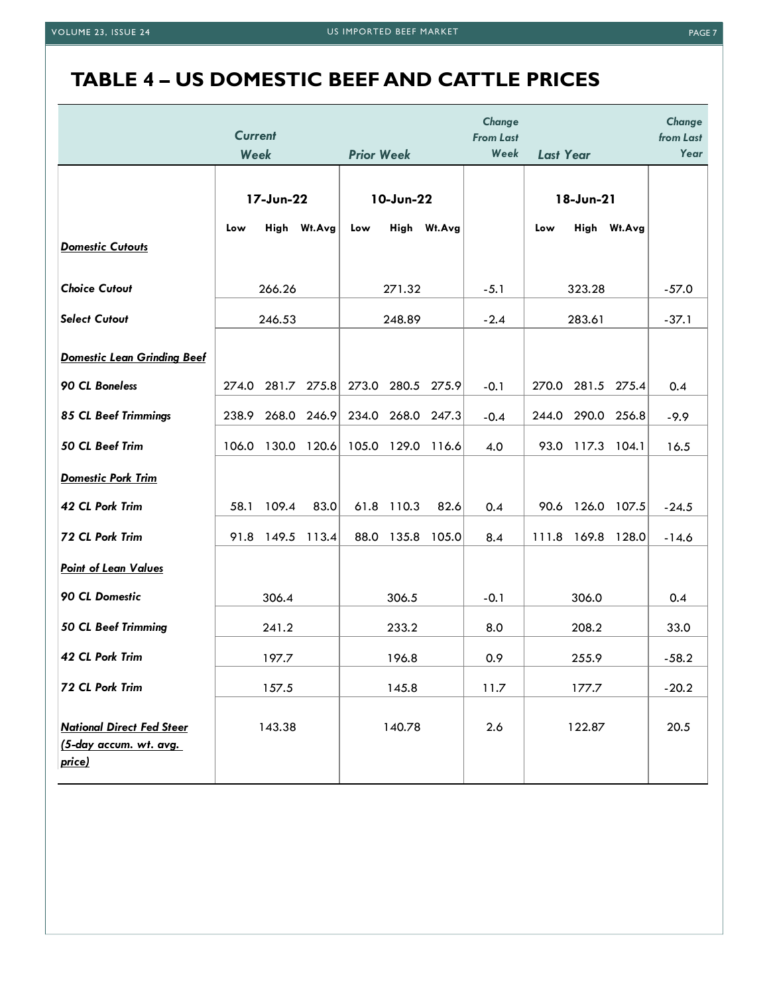# **TABLE 4 – US DOMESTIC BEEF AND CATTLE PRICES**

|                                                                      | <b>Current</b> |           |             |                   |                   |             | Change<br><b>From Last</b> |                  |                   |             | Change<br>from Last |
|----------------------------------------------------------------------|----------------|-----------|-------------|-------------------|-------------------|-------------|----------------------------|------------------|-------------------|-------------|---------------------|
|                                                                      | Week           |           |             | <b>Prior Week</b> |                   |             | Week                       | <b>Last Year</b> |                   |             | Year                |
|                                                                      |                | 17-Jun-22 |             | 10-Jun-22         |                   |             | 18-Jun-21                  |                  |                   |             |                     |
| <b>Domestic Cutouts</b>                                              | Low            |           | High Wt.Avg | Low               |                   | High Wt.Avg |                            | Low              |                   | High Wt.Avg |                     |
| <b>Choice Cutout</b>                                                 |                | 266.26    |             |                   | 271.32            |             | $-5.1$                     |                  | 323.28            |             | $-57.0$             |
| <b>Select Cutout</b>                                                 |                | 246.53    |             |                   | 248.89            |             | $-2.4$                     |                  | 283.61            |             | $-37.1$             |
| <b>Domestic Lean Grinding Beef</b>                                   |                |           |             |                   |                   |             |                            |                  |                   |             |                     |
| 90 CL Boneless                                                       | 274.0          | 281.7     | 275.8       |                   | 273.0 280.5 275.9 |             | $-0.1$                     |                  | 270.0 281.5 275.4 |             | 0.4                 |
| <b>85 CL Beef Trimmings</b>                                          | 238.9          | 268.0     | 246.9       | 234.0             |                   | 268.0 247.3 | $-0.4$                     | 244.0            | 290.0             | 256.8       | $-9.9$              |
| 50 CL Beef Trim                                                      | 106.0          | 130.0     | 120.6       | 105.0             | 129.0             | 116.6       | 4.0                        | 93.0             | 117.3             | 104.1       | 16.5                |
| <b>Domestic Pork Trim</b>                                            |                |           |             |                   |                   |             |                            |                  |                   |             |                     |
| 42 CL Pork Trim                                                      | 58.1           | 109.4     | 83.0        | 61.8              | 110.3             | 82.6        | 0.4                        | 90.6             | 126.0             | 107.5       | $-24.5$             |
| 72 CL Pork Trim                                                      | 91.8           | 149.5     | 113.4       | 88.0              | 135.8             | 105.0       | 8.4                        | 111.8            | 169.8             | 128.0       | $-14.6$             |
| <b>Point of Lean Values</b>                                          |                |           |             |                   |                   |             |                            |                  |                   |             |                     |
| 90 CL Domestic                                                       |                | 306.4     |             |                   | 306.5             |             | $-0.1$                     |                  | 306.0             |             | 0.4                 |
| <b>50 CL Beef Trimming</b>                                           |                | 241.2     |             |                   | 233.2             |             | 8.0                        |                  | 208.2             |             | 33.0                |
| 42 CL Pork Trim                                                      |                | 197.7     |             |                   | 196.8             |             | 0.9                        |                  | 255.9             |             | $-58.2$             |
| 72 CL Pork Trim                                                      |                | 157.5     |             |                   | 145.8             |             | 11.7                       |                  | 177.7             |             | $-20.2$             |
| <b>National Direct Fed Steer</b><br>(5-day accum. wt. avg.<br>price) |                | 143.38    |             |                   | 140.78            |             | 2.6                        |                  | 122.87            |             | 20.5                |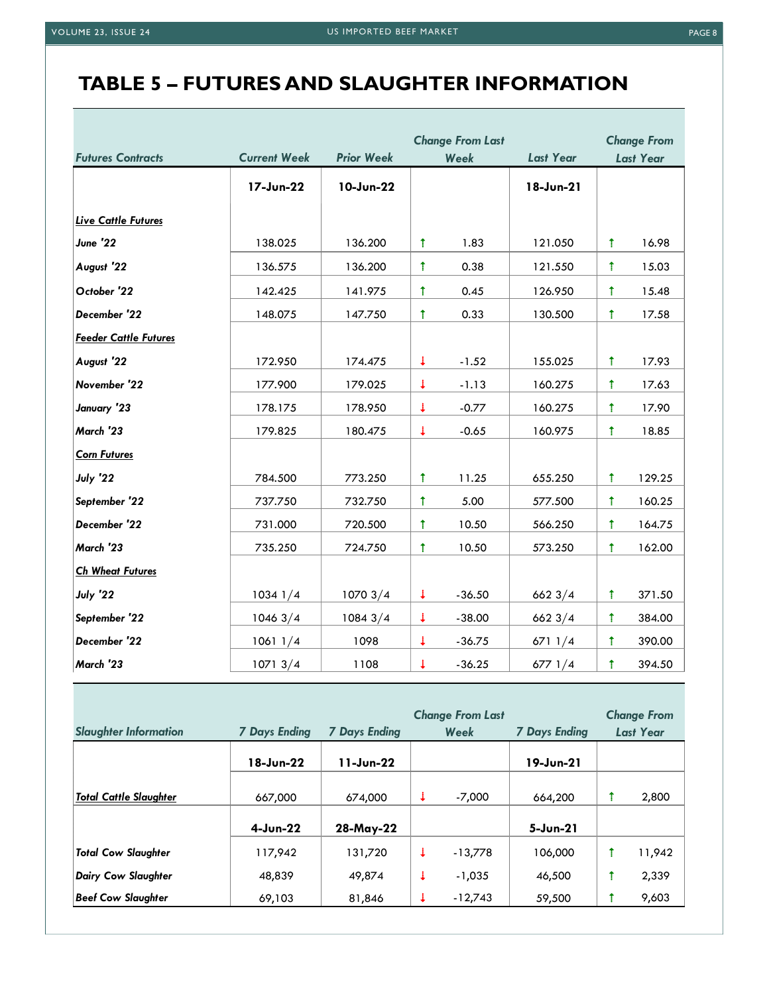### **TABLE 5 – FUTURES AND SLAUGHTER INFORMATION**

|                              |                     |                   | <b>Change From Last</b> |          |                  | <b>Change From</b> |                  |
|------------------------------|---------------------|-------------------|-------------------------|----------|------------------|--------------------|------------------|
| <b>Futures Contracts</b>     | <b>Current Week</b> | <b>Prior Week</b> |                         | Week     | <b>Last Year</b> |                    | <b>Last Year</b> |
|                              | 17-Jun-22           | 10-Jun-22         |                         |          | 18-Jun-21        |                    |                  |
| <b>Live Cattle Futures</b>   |                     |                   |                         |          |                  |                    |                  |
| June '22                     | 138.025             | 136.200           | Ť                       | 1.83     | 121.050          | $\uparrow$         | 16.98            |
| August '22                   | 136.575             | 136.200           | $\ddagger$              | 0.38     | 121.550          | $\ddagger$         | 15.03            |
| October '22                  | 142.425             | 141.975           | $\uparrow$              | 0.45     | 126.950          | $\pmb{\uparrow}$   | 15.48            |
| December '22                 | 148.075             | 147.750           | $\mathbf t$             | 0.33     | 130.500          | $\mathbf t$        | 17.58            |
| <b>Feeder Cattle Futures</b> |                     |                   |                         |          |                  |                    |                  |
| August '22                   | 172.950             | 174.475           | $\downarrow$            | $-1.52$  | 155.025          | $\uparrow$         | 17.93            |
| November '22                 | 177.900             | 179.025           | $\downarrow$            | $-1.13$  | 160.275          | $\uparrow$         | 17.63            |
| January '23                  | 178.175             | 178.950           | $\downarrow$            | $-0.77$  | 160.275          | $\uparrow$         | 17.90            |
| March '23                    | 179.825             | 180.475           | $\ddot{\phantom{0}}$    | $-0.65$  | 160.975          | $\ddagger$         | 18.85            |
| <b>Corn Futures</b>          |                     |                   |                         |          |                  |                    |                  |
| July '22                     | 784.500             | 773.250           | Ť                       | 11.25    | 655.250          | Ť                  | 129.25           |
| September '22                | 737.750             | 732.750           | $\mathbf t$             | 5.00     | 577.500          | $\ddagger$         | 160.25           |
| December '22                 | 731.000             | 720.500           | Ť                       | 10.50    | 566.250          | Ť                  | 164.75           |
| March '23                    | 735.250             | 724.750           | $\ddagger$              | 10.50    | 573.250          | Ť                  | 162.00           |
| <b>Ch Wheat Futures</b>      |                     |                   |                         |          |                  |                    |                  |
| July '22                     | $1034$ $1/4$        | 10703/4           | ↓                       | $-36.50$ | 6623/4           | Ť                  | 371.50           |
| September '22                | 10463/4             | 10843/4           | $\downarrow$            | $-38.00$ | 6623/4           | $\uparrow$         | 384.00           |
| December '22                 | 10611/4             | 1098              | ¢.                      | $-36.75$ | 6711/4           | Ť                  | 390.00           |
| March '23                    | 10713/4             | 1108              | Φ                       | $-36.25$ | 6771/4           | $\pmb{\uparrow}$   | 394.50           |

|                               |                      | <b>Change From Last</b> |   |           |                      |  | <b>Change From</b> |
|-------------------------------|----------------------|-------------------------|---|-----------|----------------------|--|--------------------|
| <b>Slaughter Information</b>  | <b>7 Days Ending</b> | <b>7 Days Ending</b>    |   | Week      | <b>7 Days Ending</b> |  | <b>Last Year</b>   |
|                               | 18-Jun-22            | 11-Jun-22               |   |           | 19-Jun-21            |  |                    |
| <b>Total Cattle Slaughter</b> | 667,000              | 674,000                 |   | $-7,000$  | 664,200              |  | 2,800              |
|                               | $4$ -Jun-22          | 28-May-22               |   |           | 5-Jun-21             |  |                    |
| <b>Total Cow Slaughter</b>    | 117,942              | 131,720                 | ↓ | $-13,778$ | 106,000              |  | 11,942             |
| Dairy Cow Slaughter           | 48,839               | 49,874                  |   | $-1,035$  | 46,500               |  | 2,339              |
| Beef Cow Slaughter            | 69,103               | 81,846                  |   | $-12,743$ | 59,500               |  | 9,603              |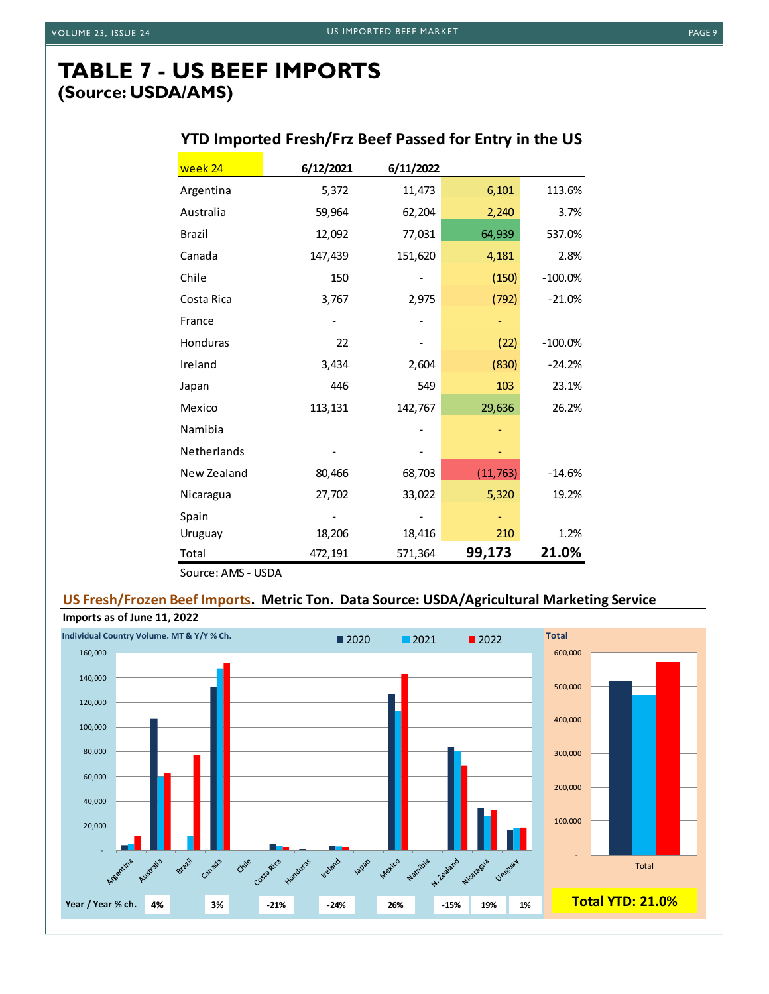### **TABLE 7 - US BEEF IMPORTS (Source: USDA/AMS)**

### **YTD Imported Fresh/Frz Beef Passed for Entry in the US**

| week 24            | 6/12/2021 | 6/11/2022 |           |           |
|--------------------|-----------|-----------|-----------|-----------|
| Argentina          | 5,372     | 11,473    | 6,101     | 113.6%    |
| Australia          | 59,964    | 62,204    | 2,240     | 3.7%      |
| <b>Brazil</b>      | 12,092    | 77,031    | 64,939    | 537.0%    |
| Canada             | 147,439   | 151,620   | 4,181     | 2.8%      |
| Chile              | 150       |           | (150)     | $-100.0%$ |
| Costa Rica         | 3,767     | 2,975     | (792)     | $-21.0%$  |
| France             |           |           |           |           |
| Honduras           | 22        |           | (22)      | $-100.0%$ |
| Ireland            | 3,434     | 2,604     | (830)     | $-24.2%$  |
| Japan              | 446       | 549       | 103       | 23.1%     |
| Mexico             | 113,131   | 142,767   | 29,636    | 26.2%     |
| Namibia            |           |           |           |           |
| <b>Netherlands</b> |           |           |           |           |
| New Zealand        | 80,466    | 68,703    | (11, 763) | $-14.6%$  |
| Nicaragua          | 27,702    | 33,022    | 5,320     | 19.2%     |
| Spain              |           |           |           |           |
| Uruguay            | 18,206    | 18,416    | 210       | 1.2%      |
| Total              | 472,191   | 571,364   | 99,173    | 21.0%     |
| Source: AMS - USDA |           |           |           |           |

**US Fresh/Frozen Beef Imports. Metric Ton. Data Source: USDA/Agricultural Marketing Service**